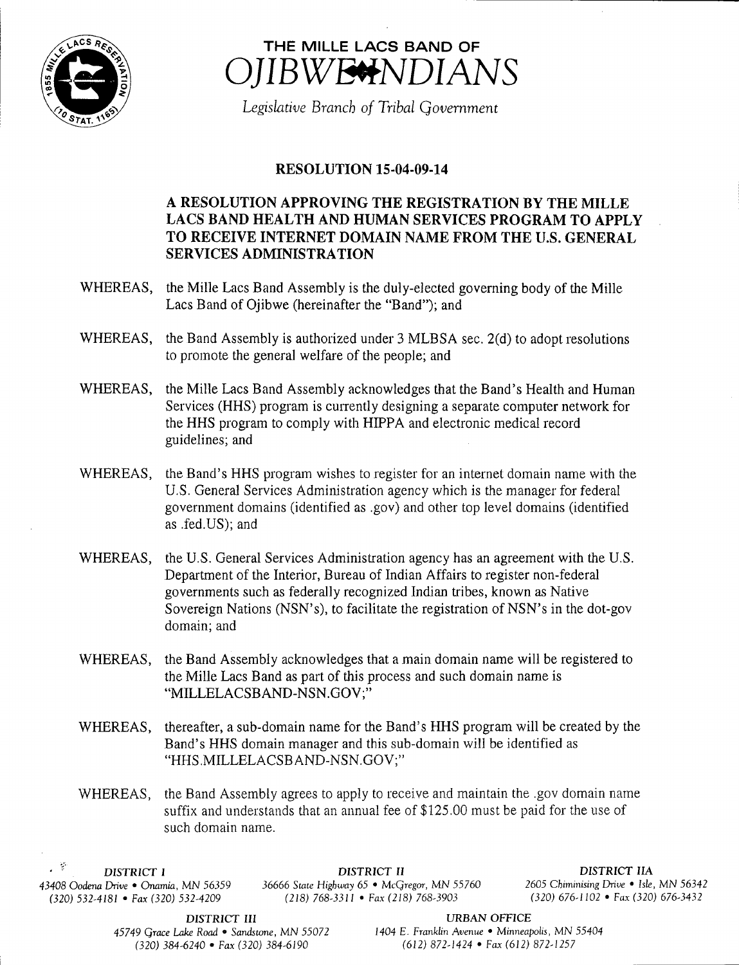



Legislative Branch of Tribal Government

## **RESOLUTION 15-04-09-14**

## A RESOLUTION APPROVING THE REGISTRATION BY THE MILLE LACS BAND HEALTH AND HUMAN SERVICES PROGRAM TO APPLY TO RECEIVE INTERNET DOMAIN NAME FROM THE U.S. GENERAL SERVICES ADMINISTRATION

- WHEREAS, the Mille Lacs Band Assembly is the duly-elected governing body of the Mille Lacs Band of Ojibwe (hereinafter the "Band"); and
- WHEREAS, the Band Assembly is authorized under 3 MLBSA sec. 2(d) to adopt resolutions to promote the general welfare of the people; and
- WHEREAS, the Mille Lacs Band Assembly acknowledges that the Band's Health and Human Services (HHS) program is currently designing a separate computer network for the HHS program to comply with HIPPA and electronic medical record guidelines; and
- WHEREAS, the Band's HHS program wishes to register for an internet domain name with the U.S. General Services Administration agency which is the manager for federal government domains ( identified as . gov) and other top level domains (identified as . fed.US); and
- WHEREAS, the U.S. General Services Administration agency has an agreement with the U.S. Department of the Interior, Bureau of Indian Affairs to register non-federal governments such as federally recognized Indian tribes, known as Native Sovereign Nations (NSN's), to facilitate the registration of NSN's in the dot-gov domain; and
- WHEREAS, the Band Assembly acknowledges that <sup>a</sup> main domain name will be registered to the Mille Lacs Band as part of this process and such domain name is MILLELACSBAND-NSN.GOV;"
- WHEREAS, thereafter, a sub-domain name for the Band's HHS program will be created by the Band's HHS domain manager and this sub-domain will be identified as HHS.MILLELACSB AND-NSN.GOV;"
- WHEREAS, the Band Assembly agrees to apply to receive and maintain the .gov domain name suffix and understands that an annual fee of \$125.00 must be paid for the use of such domain name.

 $\mathbb{R}^2$  $(320) 532-4181$  • Fax (320) 532-4209

DISTRICT I DISTRICT II DISTRICT IIA <sup>43408</sup> Oodena Drive • Onamia, MN 56359 36666 State Highway 65 • McGregor, MN 55760 <sup>2605</sup> Chiminising Drive • Isle, MN <sup>56342</sup>

**DISTRICT III** URBAN OFFICE<br>
ke Road • Sandstone, MN 55072 1404 E. Franklin Avenue • Minneapolis, MN 55404 320) 384- 6240 • Fax( 320) 384- 6190 612) 872- 1424 • Fax( 612) 872- 1257